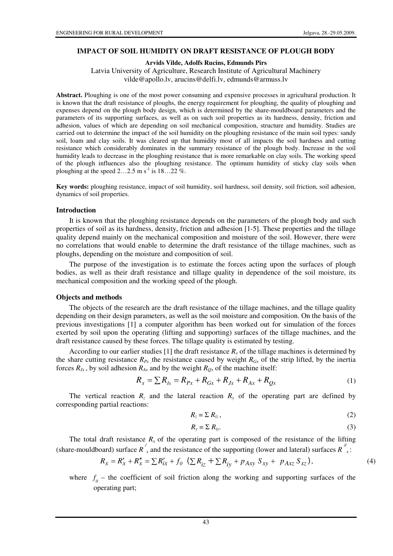### **IMPACT OF SOIL HUMIDITY ON DRAFT RESISTANCE OF PLOUGH BODY**

### **Arvids Vilde, Adolfs Rucins, Edmunds Pirs**

Latvia University of Agriculture, Research Institute of Agricultural Machinery vilde@apollo.lv, arucins@delfi.lv, edmunds@armuss.lv

**Abstract.** Ploughing is one of the most power consuming and expensive processes in agricultural production. It is known that the draft resistance of ploughs, the energy requirement for ploughing, the quality of ploughing and expenses depend on the plough body design, which is determined by the share-mouldboard parameters and the parameters of its supporting surfaces, as well as on such soil properties as its hardness, density, friction and adhesion, values of which are depending on soil mechanical composition, structure and humidity. Studies are carried out to determine the impact of the soil humidity on the ploughing resistance of the main soil types: sandy soil, loam and clay soils. It was cleared up that humidity most of all impacts the soil hardness and cutting resistance which considerably dominates in the summary resistance of the plough body. Increase in the soil humidity leads to decrease in the ploughing resistance that is more remarkable on clay soils. The working speed of the plough influences also the ploughing resistance. The optimum humidity of sticky clay soils when ploughing at the speed  $2...2.5$  m s<sup>-1</sup> is  $18...22\%$ .

**Key words:** ploughing resistance, impact of soil humidity, soil hardness, soil density, soil friction, soil adhesion, dynamics of soil properties.

#### **Introduction**

It is known that the ploughing resistance depends on the parameters of the plough body and such properties of soil as its hardness, density, friction and adhesion [1-5]. These properties and the tillage quality depend mainly on the mechanical composition and moisture of the soil. However, there were no correlations that would enable to determine the draft resistance of the tillage machines, such as ploughs, depending on the moisture and composition of soil.

The purpose of the investigation is to estimate the forces acting upon the surfaces of plough bodies, as well as their draft resistance and tillage quality in dependence of the soil moisture, its mechanical composition and the working speed of the plough.

### **Objects and methods**

The objects of the research are the draft resistance of the tillage machines, and the tillage quality depending on their design parameters, as well as the soil moisture and composition. On the basis of the previous investigations [1] a computer algorithm has been worked out for simulation of the forces exerted by soil upon the operating (lifting and supporting) surfaces of the tillage machines, and the draft resistance caused by these forces. The tillage quality is estimated by testing.

According to our earlier studies [1] the draft resistance  $R_x$  of the tillage machines is determined by the share cutting resistance  $R_{Px}$ , the resistance caused by weight  $R_{Gx}$  of the strip lifted, by the inertia forces  $R_{Jx}$ , by soil adhesion  $R_{Ax}$  and by the weight  $R_{Qx}$  of the machine itself:

$$
R_x = \sum R_{Ix} = R_{Px} + R_{Gx} + R_{Jx} + R_{Ax} + R_{Qx}
$$
 (1)

The vertical reaction  $R_z$  and the lateral reaction  $R_y$  of the operating part are defined by corresponding partial reactions:

$$
R_z = \sum R_{iz},\tag{2}
$$

$$
R_{y} = \sum R_{iy}.
$$
 (3)

The total draft resistance  $R<sub>x</sub>$  of the operating part is composed of the resistance of the lifting (share-mouldboard) surface *R / x* and the resistance of the supporting (lower and lateral) surfaces  $R^{n'}_{\;}$ :

$$
R_x = R'_x + R''_x = \sum R'_{ix} + f_0 \left( \sum R_{iz} + \sum R_{iy} + p_{Axy} S_{xy} + p_{Axz} S_{xz} \right),
$$
 (4)

where  $f_0$  – the coefficient of soil friction along the working and supporting surfaces of the operating part;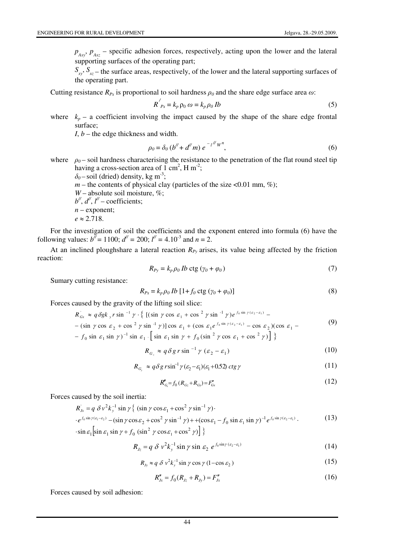$p_{Axy}$ ,  $p_{Axz}$  – specific adhesion forces, respectively, acting upon the lower and the lateral supporting surfaces of the operating part;

 $S_{xy}$ ,  $S_{xz}$  – the surface areas, respectively, of the lower and the lateral supporting surfaces of the operating part.

Cutting resistance  $R_{Px}$  is proportional to soil hardness  $\rho_0$  and the share edge surface area  $\omega$ :

$$
R'_{Px} = k_p \rho_0 \omega = k_p \rho_0 Ib
$$
 (5)

where  $k_p$  – a coefficient involving the impact caused by the shape of the share edge frontal surface;

 $I, b$  – the edge thickness and width.

$$
\rho_0 = \delta_0 (b'' + d''m) e^{-l''W^n}, \qquad (6)
$$

where  $\rho_0$ – soil hardness characterising the resistance to the penetration of the flat round steel tip having a cross-section area of  $1 \text{ cm}^2$ , H m<sup>-2</sup>;

 $\delta_0$ – soil (dried) density, kg m<sup>-3</sup>;

- $m$  the contents of physical clay (particles of the size <0.01 mm, %);
- $W$  absolute soil moisture, %;
- *b //* , *d//* , *l//* coefficients;
- $n$  exponent;
- $e \approx 2.718$ .

For the investigation of soil the coefficients and the exponent entered into formula (6) have the following values:  $b^{\bar{y}} = 1100$ ;  $d^{\bar{y}} = 200$ ;  $l^{\bar{y}} = 4.10^{-3}$  and  $n = 2$ .

At an inclined ploughshare a lateral reaction  $R_{P_y}$  arises, its value being affected by the friction reaction:

$$
R_{Py} = k_p \rho_0 \, Ib \, \text{ctg} \, (\gamma_0 + \varphi_0) \tag{7}
$$

Sumary cutting resistance:

$$
R_{Px} = k_p \rho_0 Ib [1 + f_0 \operatorname{ctg} (\gamma_0 + \varphi_0)]
$$
\n(8)

Forces caused by the gravity of the lifting soil slice:

$$
R_{Gx} \approx q \delta g k_y r \sin^{-1} \gamma \cdot \left\{ \left[ (\sin \gamma \cos \varepsilon_1 + \cos^2 \gamma \sin^{-1} \gamma) e^{f_0 \sin \gamma (\varepsilon_2 - \varepsilon_1)} - \right. \right. \left. - (\sin \gamma \cos \varepsilon_2 + \cos^2 \gamma \sin^{-1} \gamma) \right] \cos \varepsilon_1 + (\cos \varepsilon_1 e^{f_0 \sin \gamma (\varepsilon_2 - \varepsilon_1)} - \cos \varepsilon_2) (\cos \varepsilon_1 - \left. \right. \right. \tag{9}
$$

 $- f_0 \sin \varepsilon_1 \sin \gamma$ <sup>-1</sup> sin  $\varepsilon_1$ .  $\left[ \sin \varepsilon_1 \sin \gamma + f_0 (\sin^2 \gamma \cos \varepsilon_1 + \cos^2 \gamma) \right]$ 

$$
R_{G_z} \approx q \delta g \, r \sin^{-1} \gamma \, (\varepsilon_2 - \varepsilon_1) \tag{10}
$$

$$
R_{G_y} \approx q \delta g \, r \sin^{-1} \gamma (\varepsilon_2 - \varepsilon_1)(\varepsilon_1 + 0.52) \, ctg \, \gamma \tag{11}
$$

$$
R_{G_z}'' = f_0 (R_{G_z} + R_{G_y}) = F_{G_x}''
$$
\n(12)

Forces caused by the soil inertia:

$$
R_{j_x} = q \delta v^2 k_y^{-1} \sin \gamma \left\{ (\sin \gamma \cos \varepsilon_1 + \cos^2 \gamma \sin^{-1} \gamma) \cdot \right. \cdot e^{f_0 \sin \gamma (\varepsilon_1 - \varepsilon_2)} - (\sin \gamma \cos \varepsilon_2 + \cos^2 \gamma \sin^{-1} \gamma) + (\cos \varepsilon_1 - f_0 \sin \varepsilon_1 \sin \gamma)^{-1} e^{f_0 \sin \gamma (\varepsilon_2 - \varepsilon_1)} . \tag{13}
$$
  
\cdot \sin \varepsilon\_1 \left[ \sin \varepsilon\_1 \sin \gamma + f\_0 (\sin^2 \gamma \cos \varepsilon\_1 + \cos^2 \gamma) \right] \}

$$
R_{Jz} = q \delta v^2 k_y^{-1} \sin \gamma \sin \varepsilon_2 e^{f_0 \sin \gamma (\varepsilon_2 - \varepsilon_1)}
$$
 (14)

$$
R_{Jy} \approx q \delta v^2 k_y^{-1} \sin \gamma \cos \gamma (1 - \cos \varepsilon_2)
$$
 (15)

$$
R''_{Jx} = f_0(R_{Jz} + R_{Jy}) = F''_{Jx}
$$
\n(16)

Forces caused by soil adhesion: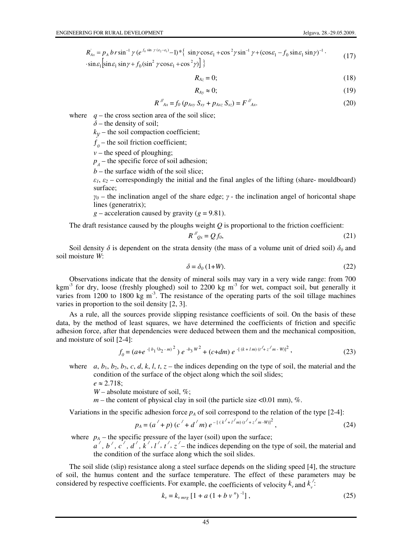$$
R_{Ax} = p_A br \sin^{-1} \gamma (e^{f_0 \sin \gamma (e_2 - e_1)} - 1) * \{ \sin \gamma \cos \epsilon_1 + \cos^2 \gamma \sin^{-1} \gamma + (\cos \epsilon_1 - f_0 \sin \epsilon_1 \sin \gamma)^{-1} \cdot \sin \epsilon_1 [\sin \epsilon_1 \sin \gamma + f_0 (\sin^2 \gamma \cos \epsilon_1 + \cos^2 \gamma)] \}
$$
\n(17)

$$
R_{Az} = 0; \tag{18}
$$

$$
R_{Ay} \approx 0; \tag{19}
$$

$$
R''_{Ax} = f_0 \left( p_{Axy} \, S_{xy} + p_{Axz} \, S_{xz} \right) = F''_{Ax}.
$$
 (20)

where  $q$  – the cross section area of the soil slice;

 $\delta$  – the density of soil;

 $k_y$  – the soil compaction coefficient;

 $f_{\theta}$  – the soil friction coefficient;

 $v$  – the speed of ploughing;

 $p_A$  – the specific force of soil adhesion;

 $b$  – the surface width of the soil slice;

 $\varepsilon_1$ ,  $\varepsilon_2$  – correspondingly the initial and the final angles of the lifting (share- mouldboard) surface;

 $\gamma_0$  – the inclination angel of the share edge;  $\gamma$  - the inclination angel of horicontal shape lines (generatrix);

 $g$  – acceleration caused by gravity ( $g$  = 9.81).

The draft resistance caused by the ploughs weight *Q* is proportional to the friction coefficient:

$$
R''_{Qx} = Qf_0,\tag{21}
$$

Soil density  $\delta$  is dependent on the strata density (the mass of a volume unit of dried soil)  $\delta_0$  and soil moisture *W*:

$$
\delta = \delta_0 \left( 1 + W \right). \tag{22}
$$

Observations indicate that the density of mineral soils may vary in a very wide range: from 700 kgm<sup>-3</sup> for dry, loose (freshly ploughed) soil to 2200 kg m<sup>-3</sup> for wet, compact soil, but generally it varies from 1200 to 1800 kg  $m<sup>3</sup>$ . The resistance of the operating parts of the soil tillage machines varies in proportion to the soil density [2, 3].

As a rule, all the sources provide slipping resistance coefficients of soil. On the basis of these data, by the method of least squares, we have determined the coefficients of friction and specific adhesion force, after that dependencies were deduced between them and the mechanical composition, and moisture of soil [2-4]:

$$
f_0 = (a + e^{-\left[b_1(b_2 - m)^2\right)} e^{-b_3 W^2} + (c + dm) e^{-\left[(k + lm\right)\left(t' + z'm - W\right)]^2},
$$
\n(23)

where  $a, b_1, b_2, b_3, c, d, k, l, t, z$  – the indices depending on the type of soil, the material and the condition of the surface of the object along which the soil slides;

 $e \approx 2.718$ ;

*W* – absolute moisture of soil, %;

 $m$  – the content of physical clay in soil (the particle size <0.01 mm), %.

Variations in the specific adhesion force  $p_A$  of soil correspond to the relation of the type [2-4]:

$$
p_A = (a' + p) (c' + d'm) e^{-[(k'+l'm)(t'+z'm-W)]^2},
$$
\n(24)

where  $p_A$  – the specific pressure of the layer (soil) upon the surface;

 $a', b', c', d', k', l', t', z'$  the indices depending on the type of soil, the material and the condition of the surface along which the soil slides.

The soil slide (slip) resistance along a steel surface depends on the sliding speed [4], the structure of soil, the humus content and the surface temperature. The effect of these parameters may be considered by respective coefficients. For example, the coefficients of velocity  $k_v$  and  $k_v$ */* :

$$
k_v = k_{v \, mrg} \left[ 1 + a \left( 1 + b \, v \,^n \right)^{-1} \right],\tag{25}
$$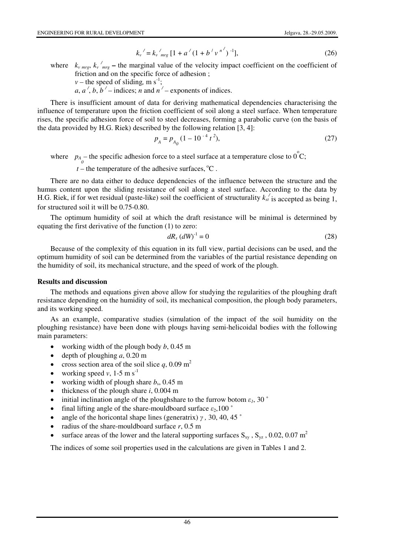$$
k_v' = k_v'_{mrg} [1 + a'(1 + b'v^{n'})^{-1}], \tag{26}
$$

where  $k_{v \text{ mrg}}, k_{v \text{ mrg}}$  – the marginal value of the velocity impact coefficient on the coefficient of friction and on the specific force of adhesion ;

*v* – the speed of sliding, m s<sup>-1</sup>;

*a*, *a*<sup> $\prime$ </sup>, *b*, *b*<sup> $\prime$ </sup> – indices; *n* and *n*<sup> $\prime$ </sup> – exponents of indices.

There is insufficient amount of data for deriving mathematical dependencies characterising the influence of temperature upon the friction coefficient of soil along a steel surface. When temperature rises, the specific adhesion force of soil to steel decreases, forming a parabolic curve (on the basis of the data provided by H.G. Riek) described by the following relation [3, 4]:

$$
p_A = p_{A_0} (1 - 10^{-4} t^2),
$$
 (27)

where  $p_A$ – the specific adhesion force to a steel surface at a temperature close to  $0^{\circ}$ C;

 $t$  – the temperature of the adhesive surfaces,  $^{\circ}C$ .

There are no data either to deduce dependencies of the influence between the structure and the humus content upon the sliding resistance of soil along a steel surface. According to the data by H.G. Riek, if for wet residual (paste-like) soil the coefficient of structurality  $k_{st}$ <sup>*/*</sup> is accepted as being 1, for structured soil it will be 0.75-0.80.

The optimum humidity of soil at which the draft resistance will be minimal is determined by equating the first derivative of the function (1) to zero:

$$
dR_x \, (dW)^{-1} = 0 \tag{28}
$$

Because of the complexity of this equation in its full view, partial decisions can be used, and the optimum humidity of soil can be determined from the variables of the partial resistance depending on the humidity of soil, its mechanical structure, and the speed of work of the plough.

### **Results and discussion**

The methods and equations given above allow for studying the regularities of the ploughing draft resistance depending on the humidity of soil, its mechanical composition, the plough body parameters, and its working speed.

As an example, comparative studies (simulation of the impact of the soil humidity on the ploughing resistance) have been done with plougs having semi-helicoidal bodies with the following main parameters:

- working width of the plough body *b*, 0.45 m
- depth of ploughing *a*, 0.20 m
- cross section area of the soil slice  $q$ , 0.09 m<sup>2</sup>
- working speed  $v$ , 1-5 m s<sup>-1</sup>
- working width of plough share  $b_s$ , 0.45 m
- thickness of the plough share *i*, 0.004 m
- initial inclination angle of the ploughshare to the furrow botom  $\varepsilon_1$ , 30  $\degree$
- final lifting angle of the share-mouldboard surface  $\varepsilon_2$ , 100  $\degree$
- angle of the horicontal shape lines (generatrix)  $\gamma$ , 30, 40, 45 °
- radius of the share-mouldboard surface  $r$ , 0.5 m
- surface areas of the lower and the lateral supporting surfaces  $S_{xy}$ ,  $S_{yz}$ , 0.02, 0.07 m<sup>2</sup>

The indices of some soil properties used in the calculations are given in Tables 1 and 2.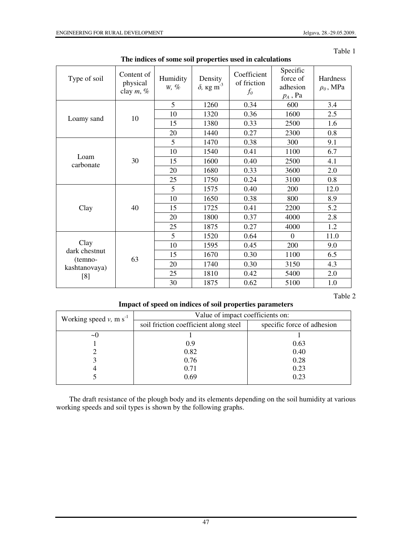Table 1

| Type of soil                                             | Content of<br>physical<br>clay $m, \%$ | Humidity<br>$W, \%$ | Density<br>$\delta$ , кg m <sup>-3</sup> | Coefficient<br>of friction<br>$f_0$ | Specific<br>force of<br>adhesion<br>$p_A$ , Pa | Hardness<br>$\rho_0$ , MPa |
|----------------------------------------------------------|----------------------------------------|---------------------|------------------------------------------|-------------------------------------|------------------------------------------------|----------------------------|
| Loamy sand                                               | 10                                     | 5                   | 1260                                     | 0.34                                | 600                                            | 3.4                        |
|                                                          |                                        | 10                  | 1320                                     | 0.36                                | 1600                                           | 2.5                        |
|                                                          |                                        | 15                  | 1380                                     | 0.33                                | 2500                                           | 1.6                        |
|                                                          |                                        | 20                  | 1440                                     | 0.27                                | 2300                                           | 0.8                        |
| Loam<br>carbonate                                        | 30                                     | 5                   | 1470                                     | 0.38                                | 300                                            | 9.1                        |
|                                                          |                                        | 10                  | 1540                                     | 0.41                                | 1100                                           | 6.7                        |
|                                                          |                                        | 15                  | 1600                                     | 0.40                                | 2500                                           | 4.1                        |
|                                                          |                                        | 20                  | 1680                                     | 0.33                                | 3600                                           | 2.0                        |
|                                                          |                                        | 25                  | 1750                                     | 0.24                                | 3100                                           | 0.8                        |
| Clay                                                     | 40                                     | 5                   | 1575                                     | 0.40                                | 200                                            | 12.0                       |
|                                                          |                                        | 10                  | 1650                                     | 0.38                                | 800                                            | 8.9                        |
|                                                          |                                        | 15                  | 1725                                     | 0.41                                | 2200                                           | 5.2                        |
|                                                          |                                        | 20                  | 1800                                     | 0.37                                | 4000                                           | 2.8                        |
|                                                          |                                        | 25                  | 1875                                     | 0.27                                | 4000                                           | 1.2                        |
| Clay<br>dark chestnut<br>(temno-<br>kashtanovaya)<br>[8] | 63                                     | 5                   | 1520                                     | 0.64                                | $\overline{0}$                                 | 11.0                       |
|                                                          |                                        | 10                  | 1595                                     | 0.45                                | 200                                            | 9.0                        |
|                                                          |                                        | 15                  | 1670                                     | 0.30                                | 1100                                           | 6.5                        |
|                                                          |                                        | 20                  | 1740                                     | 0.30                                | 3150                                           | 4.3                        |
|                                                          |                                        | 25                  | 1810                                     | 0.42                                | 5400                                           | 2.0                        |
|                                                          |                                        | 30                  | 1875                                     | 0.62                                | 5100                                           | 1.0                        |

Table 2

## **Impact of speed on indices of soil properties parameters**

| Working speed $v$ , m s <sup>-1</sup> | Value of impact coefficients on:      |                            |  |  |  |
|---------------------------------------|---------------------------------------|----------------------------|--|--|--|
|                                       | soil friction coefficient along steel | specific force of adhesion |  |  |  |
| $\sim$ ()                             |                                       |                            |  |  |  |
|                                       | 0.9                                   | 0.63                       |  |  |  |
|                                       | 0.82                                  | 0.40                       |  |  |  |
|                                       | 0.76                                  | 0.28                       |  |  |  |
|                                       | 0.71                                  | 0.23                       |  |  |  |
|                                       | 0.69                                  | 0.23                       |  |  |  |

The draft resistance of the plough body and its elements depending on the soil humidity at various working speeds and soil types is shown by the following graphs.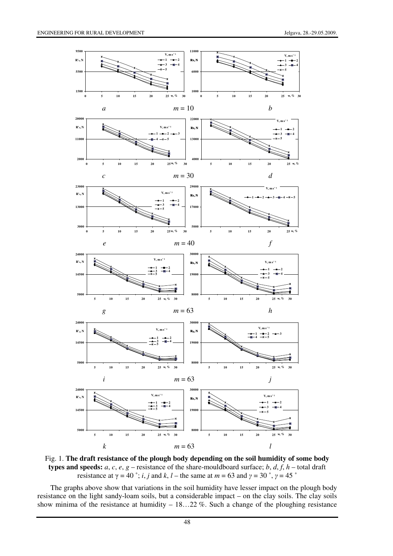

Fig. 1. **The draft resistance of the plough body depending on the soil humidity of some body types and speeds:**  $a, c, e, g$  – resistance of the share-mouldboard surface;  $b, d, f, h$  – total draft resistance at  $\gamma = 40$  °; *i*, *j* and *k*, *l* – the same at  $m = 63$  and  $\gamma = 30$  °,  $\gamma = 45$  °

The graphs above show that variations in the soil humidity have lesser impact on the plough body resistance on the light sandy-loam soils, but a considerable impact – on the clay soils. The clay soils show minima of the resistance at humidity – 18…22 %. Such a change of the ploughing resistance